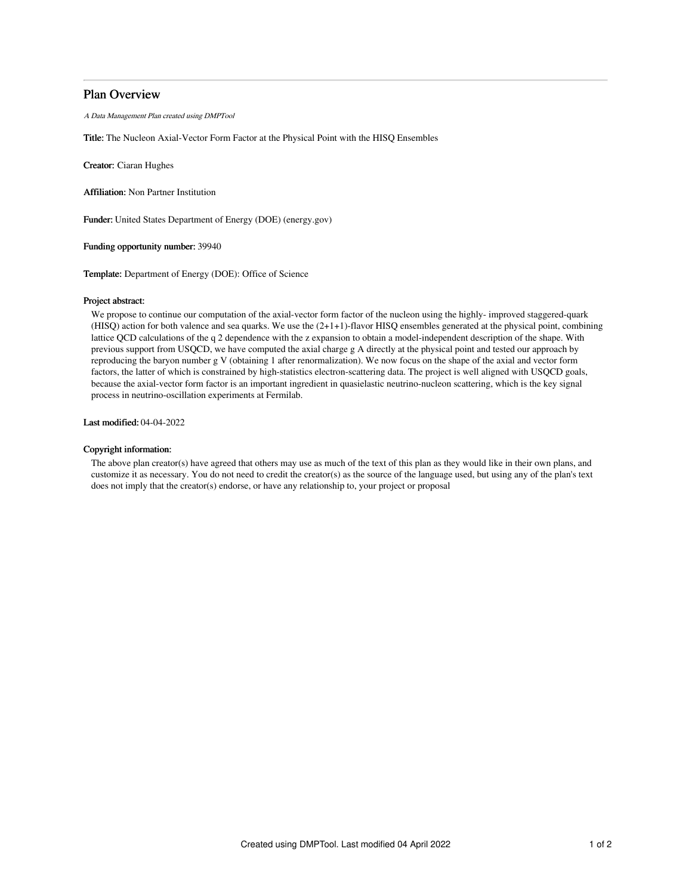# Plan Overview

A Data Management Plan created using DMPTool

Title: The Nucleon Axial-Vector Form Factor at the Physical Point with the HISQ Ensembles

Creator: Ciaran Hughes

Affiliation: Non Partner Institution

Funder: United States Department of Energy (DOE) (energy.gov)

Funding opportunity number: 39940

Template: Department of Energy (DOE): Office of Science

### Project abstract:

We propose to continue our computation of the axial-vector form factor of the nucleon using the highly- improved staggered-quark  $(HISO)$  action for both valence and sea quarks. We use the  $(2+1+1)$ -flavor HISQ ensembles generated at the physical point, combining lattice QCD calculations of the q 2 dependence with the z expansion to obtain a model-independent description of the shape. With previous support from USQCD, we have computed the axial charge g A directly at the physical point and tested our approach by reproducing the baryon number g V (obtaining 1 after renormalization). We now focus on the shape of the axial and vector form factors, the latter of which is constrained by high-statistics electron-scattering data. The project is well aligned with USQCD goals, because the axial-vector form factor is an important ingredient in quasielastic neutrino-nucleon scattering, which is the key signal process in neutrino-oscillation experiments at Fermilab.

Last modified: 04-04-2022

## Copyright information:

The above plan creator(s) have agreed that others may use as much of the text of this plan as they would like in their own plans, and customize it as necessary. You do not need to credit the creator(s) as the source of the language used, but using any of the plan's text does not imply that the creator(s) endorse, or have any relationship to, your project or proposal